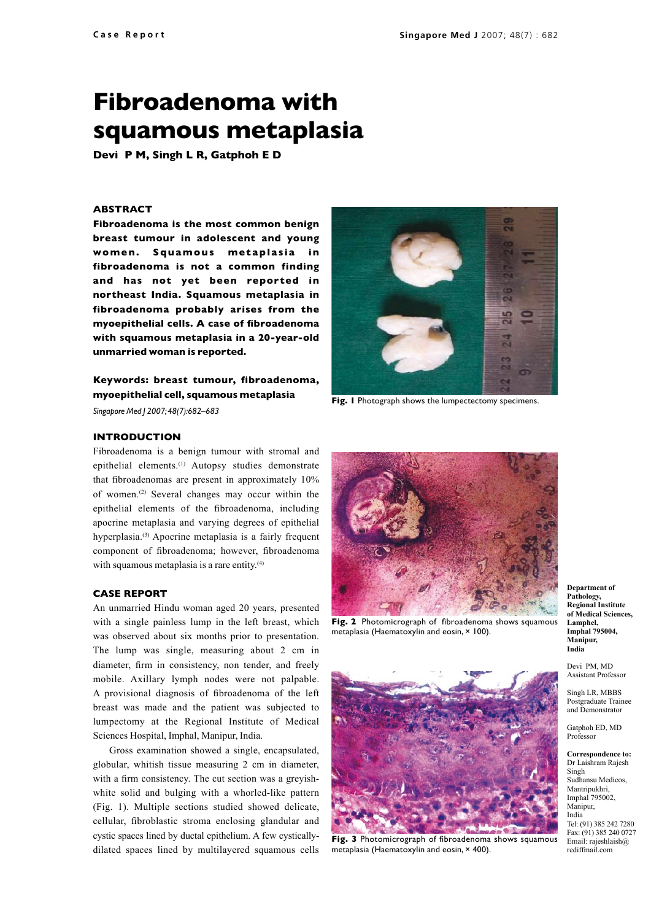# **Fibroadenoma with squamous metaplasia**

**Devi P M, Singh L R, Gatphoh E D**

### **Abstract**

**Fibroadenoma is the most common benign breast tumour in adolescent and young**  women. Squamous metaplasia in **fibroadenoma is not a common finding and has not yet been reported in northeast India. Squamous metaplasia in fibroadenoma probably arises from the myoepithelial cells. A case of fibroadenoma with squamous metaplasia in a 20-year-old unmarried woman is reported.** 

## **Keywords: breast tumour, fibroadenoma, myoepithelial cell, squamous metaplasia**

*Singapore Med J 2007; 48(7):682–683*



**Fig. 1** Photograph shows the lumpectectomy specimens.

#### **Introduction**

Fibroadenoma is a benign tumour with stromal and epithelial elements.<sup>(1)</sup> Autopsy studies demonstrate that fibroadenomas are present in approximately 10% of women.(2) Several changes may occur within the epithelial elements of the fibroadenoma, including apocrine metaplasia and varying degrees of epithelial hyperplasia.(3) Apocrine metaplasia is a fairly frequent component of fibroadenoma; however, fibroadenoma with squamous metaplasia is a rare entity.<sup>(4)</sup>

#### **Case Report**

An unmarried Hindu woman aged 20 years, presented with a single painless lump in the left breast, which was observed about six months prior to presentation. The lump was single, measuring about 2 cm in diameter, firm in consistency, non tender, and freely mobile. Axillary lymph nodes were not palpable. A provisional diagnosis of fibroadenoma of the left breast was made and the patient was subjected to lumpectomy at the Regional Institute of Medical Sciences Hospital, Imphal, Manipur, India.

Gross examination showed a single, encapsulated, globular, whitish tissue measuring 2 cm in diameter, with a firm consistency. The cut section was a greyishwhite solid and bulging with a whorled-like pattern (Fig. 1). Multiple sections studied showed delicate, cellular, fibroblastic stroma enclosing glandular and cystic spaces lined by ductal epithelium. A few cysticallydilated spaces lined by multilayered squamous cells



Fig. 2 Photomicrograph of fibroadenoma shows squamous metaplasia (Haematoxylin and eosin, × 100).



**Fig. 3** Photomicrograph of fibroadenoma shows squamous metaplasia (Haematoxylin and eosin,  $\times$  400).

**Department of Pathology, Regional Institute of Medical Sciences, Lamphel, Imphal 795004, Manipur, India**

Devi PM, MD Assistant Professor

Singh LR, MBBS Postgraduate Trainee and Demonstrator

Gatphoh ED, MD Professor

**Correspondence to:** Dr Laishram Rajesh Singh Sudhansu Medicos, Mantripukhri, Imphal 795002, Manipur, India Tel: (91) 385 242 7280 Fax: (91) 385 240 0727 Email: rajeshlaish@ rediffmail.com